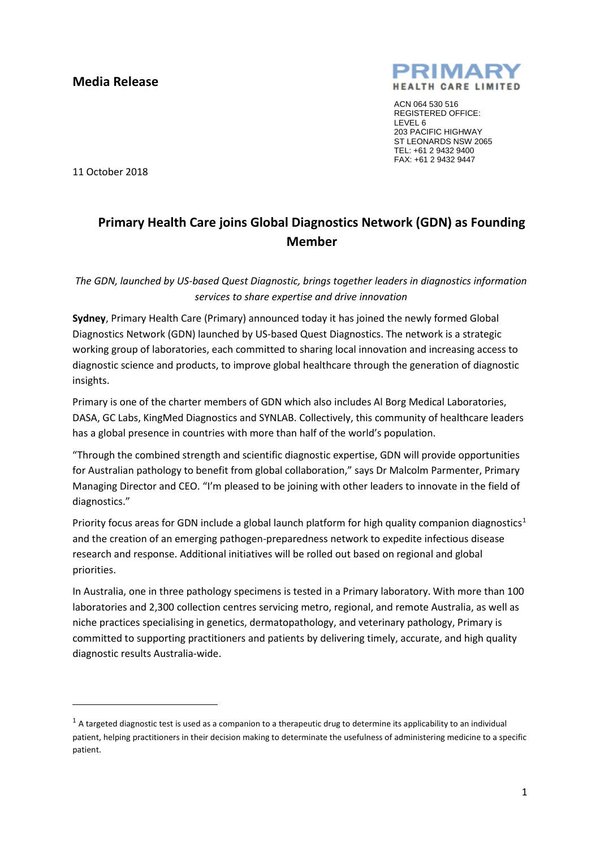

ACN 064 530 516 REGISTERED OFFICE: LEVEL 6 203 PACIFIC HIGHWAY ST LEONARDS NSW 2065 TEL: +61 2 9432 9400 FAX: +61 2 9432 9447

11 October 2018

**.** 

## **Primary Health Care joins Global Diagnostics Network (GDN) as Founding Member**

*The GDN, launched by US-based Quest Diagnostic, brings together leaders in diagnostics information services to share expertise and drive innovation*

**Sydney**, Primary Health Care (Primary) announced today it has joined the newly formed Global Diagnostics Network (GDN) launched by US-based Quest Diagnostics. The network is a strategic working group of laboratories, each committed to sharing local innovation and increasing access to diagnostic science and products, to improve global healthcare through the generation of diagnostic insights.

Primary is one of the charter members of GDN which also includes Al Borg Medical Laboratories, DASA, GC Labs, KingMed Diagnostics and SYNLAB. Collectively, this community of healthcare leaders has a global presence in countries with more than half of the world's population.

"Through the combined strength and scientific diagnostic expertise, GDN will provide opportunities for Australian pathology to benefit from global collaboration," says Dr Malcolm Parmenter, Primary Managing Director and CEO. "I'm pleased to be joining with other leaders to innovate in the field of diagnostics."

Priority focus areas for GDN include a global launch platform for high quality companion diagnostics<sup>[1](#page-0-0)</sup> and the creation of an emerging pathogen-preparedness network to expedite infectious disease research and response. Additional initiatives will be rolled out based on regional and global priorities.

In Australia, one in three pathology specimens is tested in a Primary laboratory. With more than 100 laboratories and 2,300 collection centres servicing metro, regional, and remote Australia, as well as niche practices specialising in genetics, dermatopathology, and veterinary pathology, Primary is committed to supporting practitioners and patients by delivering timely, accurate, and high quality diagnostic results Australia-wide.

<span id="page-0-0"></span> $1$  A targeted diagnostic test is used as a companion to a therapeutic drug to determine its applicability to an individual patient, helping practitioners in their decision making to determinate the usefulness of administering medicine to a specific patient.